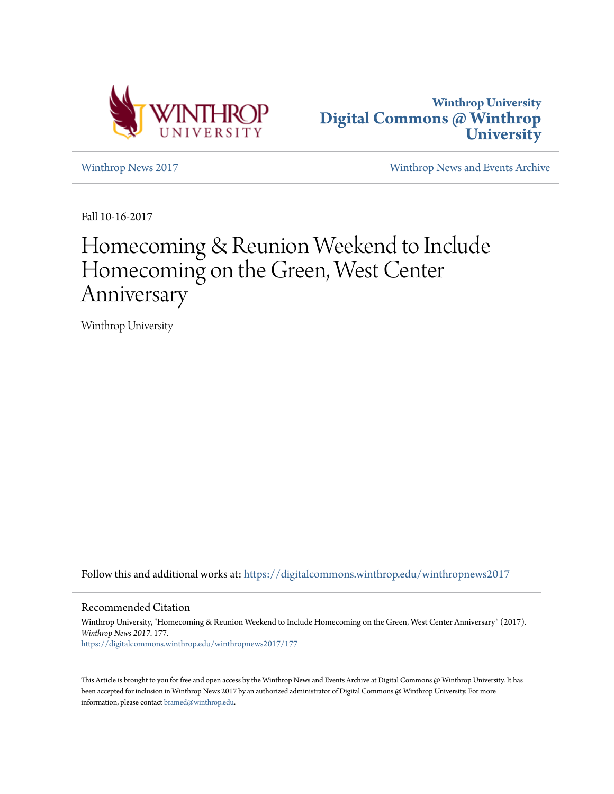



[Winthrop News 2017](https://digitalcommons.winthrop.edu/winthropnews2017?utm_source=digitalcommons.winthrop.edu%2Fwinthropnews2017%2F177&utm_medium=PDF&utm_campaign=PDFCoverPages) [Winthrop News and Events Archive](https://digitalcommons.winthrop.edu/winthropnewsarchives?utm_source=digitalcommons.winthrop.edu%2Fwinthropnews2017%2F177&utm_medium=PDF&utm_campaign=PDFCoverPages)

Fall 10-16-2017

# Homecoming & Reunion Weekend to Include Homecoming on the Green, West Center Anniversary

Winthrop University

Follow this and additional works at: [https://digitalcommons.winthrop.edu/winthropnews2017](https://digitalcommons.winthrop.edu/winthropnews2017?utm_source=digitalcommons.winthrop.edu%2Fwinthropnews2017%2F177&utm_medium=PDF&utm_campaign=PDFCoverPages)

Recommended Citation

Winthrop University, "Homecoming & Reunion Weekend to Include Homecoming on the Green, West Center Anniversary" (2017). *Winthrop News 2017*. 177. [https://digitalcommons.winthrop.edu/winthropnews2017/177](https://digitalcommons.winthrop.edu/winthropnews2017/177?utm_source=digitalcommons.winthrop.edu%2Fwinthropnews2017%2F177&utm_medium=PDF&utm_campaign=PDFCoverPages)

This Article is brought to you for free and open access by the Winthrop News and Events Archive at Digital Commons @ Winthrop University. It has been accepted for inclusion in Winthrop News 2017 by an authorized administrator of Digital Commons @ Winthrop University. For more information, please contact [bramed@winthrop.edu](mailto:bramed@winthrop.edu).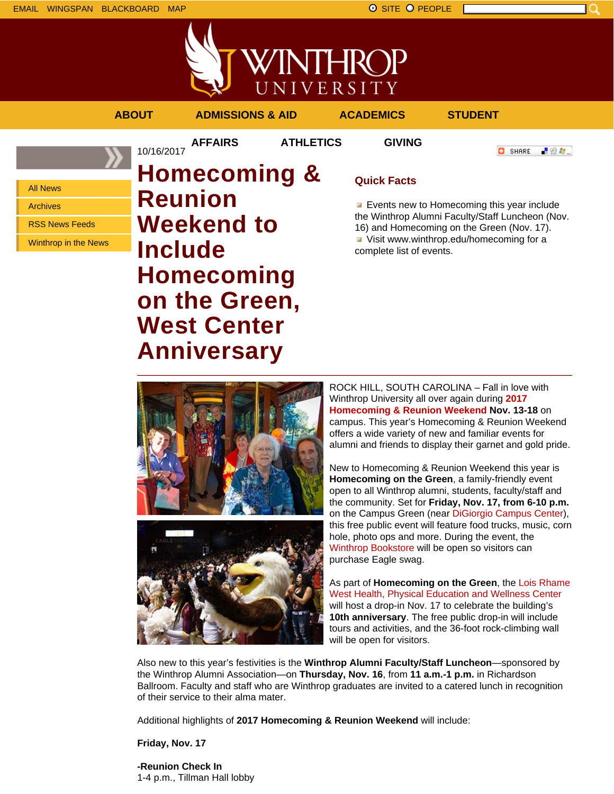EMAIL WINGSPAN BLACKBOARD MAP SITE PEOPLE SAND A SITE PEOPLE



**//INTHROP** UNIVERSITY

### **ABOUT ADMISSIONS & AID ACADEMICS STUDENT**

**AFFAIRS ATHLETICS GIVING**

**C** SHARE 上没有。

All News

Archives

RSS News Feeds

Winthrop in the News

## 10/16/2017 **Homecoming & Reunion Weekend to Include Homecoming on the Green, West Center Anniversary**

### **Quick Facts**

**Exents new to Homecoming this year include** the Winthrop Alumni Faculty/Staff Luncheon (Nov. 16) and Homecoming on the Green (Nov. 17). Visit www.winthrop.edu/homecoming for a complete list of events.



**Homecoming on the Green**, a family-friendly event open to all Winthrop alumni, students, faculty/staff and the community. Set for **Friday, Nov. 17, from 6-10 p.m.** on the Campus Green (near DiGiorgio Campus Center), this free public event will feature food trucks, music, corn hole, photo ops and more. During the event, the Winthrop Bookstore will be open so visitors can purchase Eagle swag.

As part of **Homecoming on the Green**, the Lois Rhame West Health, Physical Education and Wellness Center will host a drop-in Nov. 17 to celebrate the building's **10th anniversary**. The free public drop-in will include tours and activities, and the 36-foot rock-climbing wall will be open for visitors.

Also new to this year's festivities is the **Winthrop Alumni Faculty/Staff Luncheon**—sponsored by the Winthrop Alumni Association—on **Thursday, Nov. 16**, from **11 a.m.-1 p.m.** in Richardson Ballroom. Faculty and staff who are Winthrop graduates are invited to a catered lunch in recognition of their service to their alma mater.

Additional highlights of **2017 Homecoming & Reunion Weekend** will include:

**Friday, Nov. 17**

**-Reunion Check In** 1-4 p.m., Tillman Hall lobby